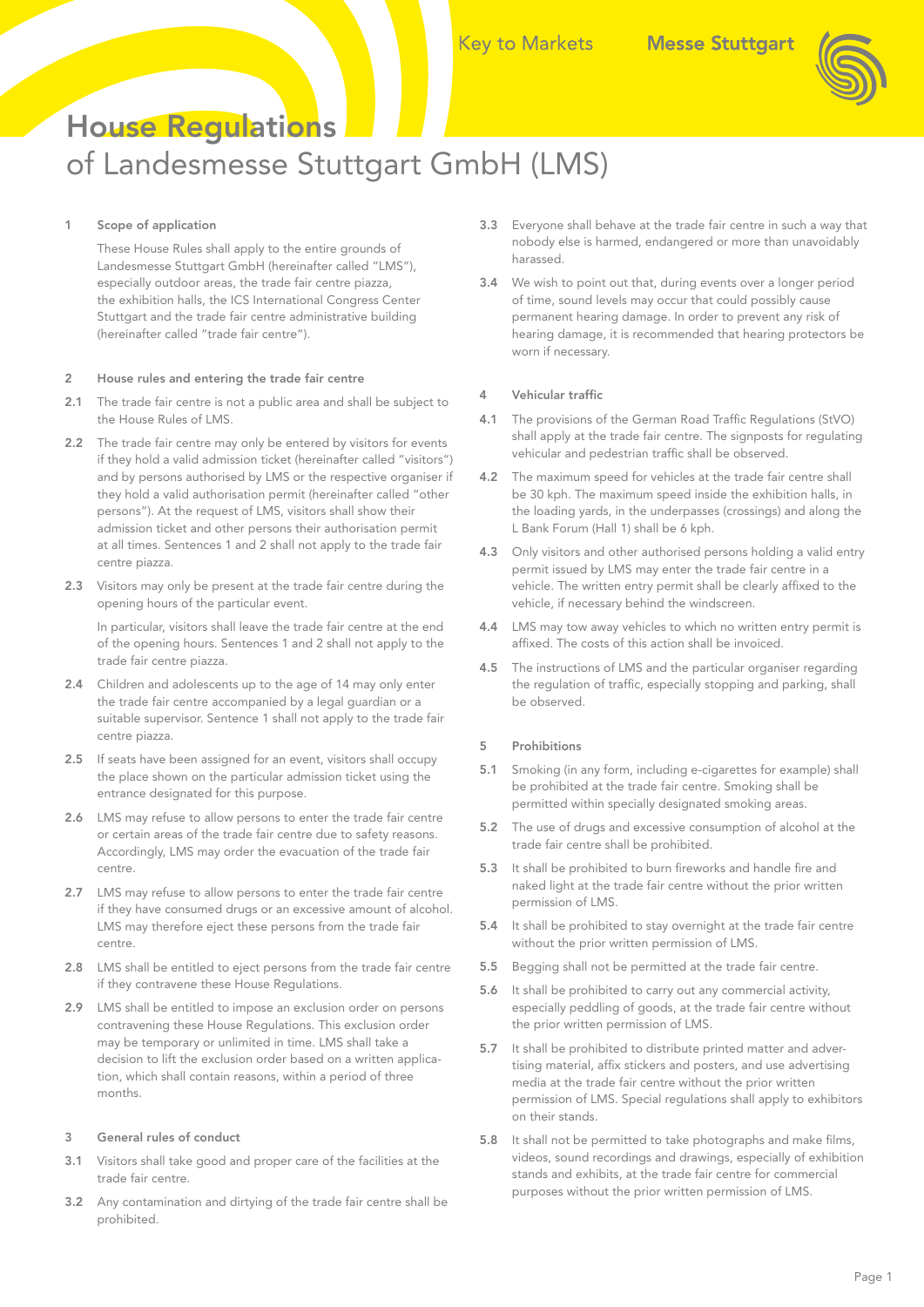

# House Regulations of Landesmesse Stuttgart GmbH (LMS)

# 1 Scope of application

 These House Rules shall apply to the entire grounds of Landesmesse Stuttgart GmbH (hereinafter called "LMS"), especially outdoor areas, the trade fair centre piazza, the exhibition halls, the ICS International Congress Center Stuttgart and the trade fair centre administrative building (hereinafter called "trade fair centre").

## 2 House rules and entering the trade fair centre

- 2.1 The trade fair centre is not a public area and shall be subject to the House Rules of LMS.
- 2.2 The trade fair centre may only be entered by visitors for events if they hold a valid admission ticket (hereinafter called "visitors") and by persons authorised by LMS or the respective organiser if they hold a valid authorisation permit (hereinafter called "other persons"). At the request of LMS, visitors shall show their admission ticket and other persons their authorisation permit at all times. Sentences 1 and 2 shall not apply to the trade fair centre piazza.
- 2.3 Visitors may only be present at the trade fair centre during the opening hours of the particular event.

 In particular, visitors shall leave the trade fair centre at the end of the opening hours. Sentences 1 and 2 shall not apply to the trade fair centre piazza.

- 2.4 Children and adolescents up to the age of 14 may only enter the trade fair centre accompanied by a legal guardian or a suitable supervisor. Sentence 1 shall not apply to the trade fair centre piazza.
- 2.5 If seats have been assigned for an event, visitors shall occupy the place shown on the particular admission ticket using the entrance designated for this purpose.
- 2.6 LMS may refuse to allow persons to enter the trade fair centre or certain areas of the trade fair centre due to safety reasons. Accordingly, LMS may order the evacuation of the trade fair centre.
- 2.7 LMS may refuse to allow persons to enter the trade fair centre if they have consumed drugs or an excessive amount of alcohol. LMS may therefore eject these persons from the trade fair centre.
- 2.8 LMS shall be entitled to eject persons from the trade fair centre if they contravene these House Regulations.
- 2.9 LMS shall be entitled to impose an exclusion order on persons contravening these House Regulations. This exclusion order may be temporary or unlimited in time. LMS shall take a decision to lift the exclusion order based on a written application, which shall contain reasons, within a period of three months.

## 3 General rules of conduct

- 3.1 Visitors shall take good and proper care of the facilities at the trade fair centre.
- 3.2 Any contamination and dirtying of the trade fair centre shall be prohibited.
- 3.3 Everyone shall behave at the trade fair centre in such a way that nobody else is harmed, endangered or more than unavoidably harassed.
- 3.4 We wish to point out that, during events over a longer period of time, sound levels may occur that could possibly cause permanent hearing damage. In order to prevent any risk of hearing damage, it is recommended that hearing protectors be worn if necessary.

## 4 Vehicular traffic

- 4.1 The provisions of the German Road Traffic Regulations (StVO) shall apply at the trade fair centre. The signposts for regulating vehicular and pedestrian traffic shall be observed.
- 4.2 The maximum speed for vehicles at the trade fair centre shall be 30 kph. The maximum speed inside the exhibition halls, in the loading yards, in the underpasses (crossings) and along the L Bank Forum (Hall 1) shall be 6 kph.
- 4.3 Only visitors and other authorised persons holding a valid entry permit issued by LMS may enter the trade fair centre in a vehicle. The written entry permit shall be clearly affixed to the vehicle, if necessary behind the windscreen.
- 4.4 LMS may tow away vehicles to which no written entry permit is affixed. The costs of this action shall be invoiced.
- 4.5 The instructions of LMS and the particular organiser regarding the regulation of traffic, especially stopping and parking, shall be observed.

## 5 Prohibitions

- 5.1 Smoking (in any form, including e-cigarettes for example) shall be prohibited at the trade fair centre. Smoking shall be permitted within specially designated smoking areas.
- 5.2 The use of drugs and excessive consumption of alcohol at the trade fair centre shall be prohibited.
- 5.3 It shall be prohibited to burn fireworks and handle fire and naked light at the trade fair centre without the prior written permission of LMS.
- 5.4 It shall be prohibited to stay overnight at the trade fair centre without the prior written permission of LMS.
- 5.5 Begging shall not be permitted at the trade fair centre.
- 5.6 It shall be prohibited to carry out any commercial activity, especially peddling of goods, at the trade fair centre without the prior written permission of LMS.
- 5.7 It shall be prohibited to distribute printed matter and advertising material, affix stickers and posters, and use advertising media at the trade fair centre without the prior written permission of LMS. Special regulations shall apply to exhibitors on their stands.
- 5.8 It shall not be permitted to take photographs and make films, videos, sound recordings and drawings, especially of exhibition stands and exhibits, at the trade fair centre for commercial purposes without the prior written permission of LMS.